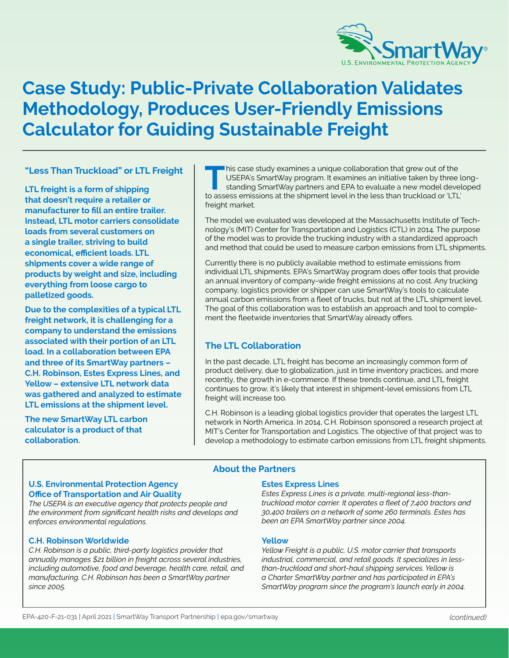

# **Case Study: Public-Private Collaboration Validates Methodology, Produces User-Friendly Emissions Calculator for Guiding Sustainable Freight**

# **"Less Than Truckload" or LTL Freight**

**LTL freight is a form of shipping that doesn't require a retailer or manufacturer to fill an entire trailer. Instead, LTL motor carriers consolidate loads from several customers on a single trailer, striving to build economical, efficient loads. LTL shipments cover a wide range of products by weight and size, including everything from loose cargo to palletized goods.** 

**Due to the complexities of a typical LTL freight network, it is challenging for a company to understand the emissions associated with their portion of an LTL load. In a collaboration between EPA and three of its SmartWay partners – C.H. Robinson, Estes Express Lines, and Yellow – extensive LTL network data was gathered and analyzed to estimate LTL emissions at the shipment level.** 

**The new SmartWay LTL carbon calculator is a product of that collaboration.** 

to assess emissions at the shipment level in the less than truckload or 'LTL'<br>freight market. This case study examines a unique collaboration that grew out of the USEPA's SmartWay program. It examines an initiative taken by three long-<br>standing SmartWay partners and EPA to evaluate a new model developed<br>to exact em USEPA's SmartWay program. It examines an initiative taken by three long-

The model we evaluated was developed at the Massachusetts Institute of Technology's (MIT) Center for Transportation and Logistics (CTL) in 2014. The purpose of the model was to provide the trucking industry with a standardized approach and method that could be used to measure carbon emissions from LTL shipments.

Currently there is no publicly available method to estimate emissions from individual LTL shipments. EPA's SmartWay program does offer tools that provide an annual inventory of company-wide freight emissions at no cost. Any trucking company, logistics provider or shipper can use SmartWay's tools to calculate annual carbon emissions from a fleet of trucks, but not at the LTL shipment level. The goal of this collaboration was to establish an approach and tool to complement the fleetwide inventories that SmartWay already offers.

# **The LTL Collaboration**

In the past decade, LTL freight has become an increasingly common form of product delivery, due to globalization, just in time inventory practices, and more recently, the growth in e-commerce. If these trends continue, and LTL freight continues to grow, it's likely that interest in shipment-level emissions from LTL freight will increase too.

C.H. Robinson is a leading global logistics provider that operates the largest LTL network in North America. In 2014, C.H. Robinson sponsored a research project at MIT's Center for Transportation and Logistics. The objective of that project was to develop a methodology to estimate carbon emissions from LTL freight shipments.

# **About the Partners**

### **Office of Transportation and Air Quality U.S. Environmental Protection Agency Estes Express Lines**

the environment from significant health risks and develops and *enforces environmental regulations. been an EPA SmartWay partner since 2004.* 

### **C.H. Robinson Worldwide Yellow Yellow**

*C.H. Robinson is a public, third-party logistics provider that Yellow Freight is a public, U.S. motor carrier that transports annually manages \$21 billion in freight across several industries, industrial, commercial, and retail goods. It specializes in lessincluding automotive, food and beverage, health care, retail, and than-truckload and short-haul shipping services. Yellow is manufacturing. C.H. Robinson has been a SmartWay partner a Charter SmartWay partner and has participated in EPA's since 2005. SmartWay program since the program's launch early in 2004.* 

Estes Express Lines is a private, multi-regional less-than-<br>truckload motor carrier. It operates a fleet of 7,400 tractors and *The USEPA is an executive agency that protects people and truckload motor carrier. It operates a fleet of 7,400 tractors and*